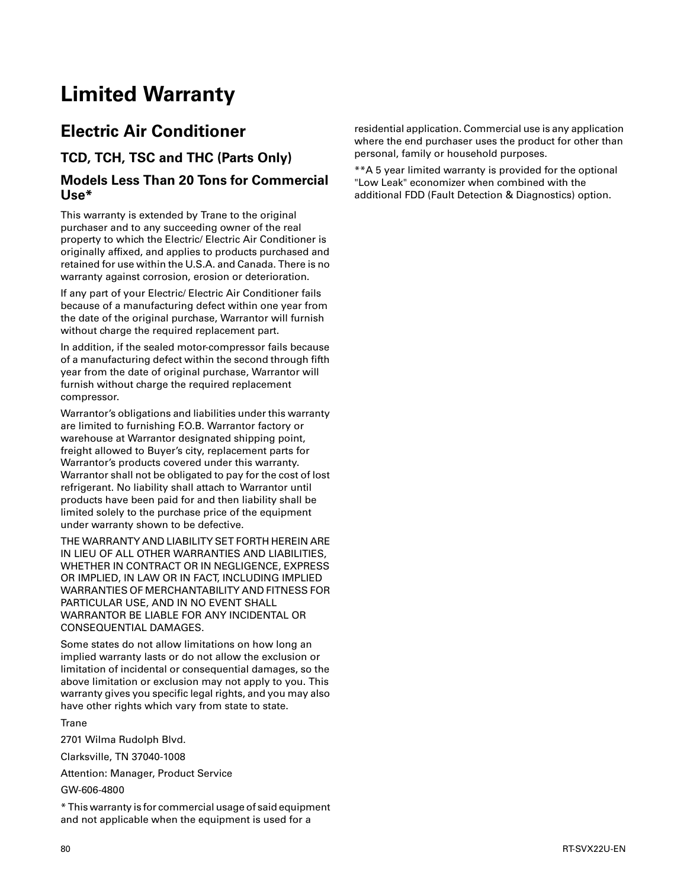## **Limited Warranty**

## **Electric Air Conditioner**

**TCD, TCH, TSC and THC (Parts Only)**

## **Models Less Than 20 Tons for Commercial Use\***

This warranty is extended by Trane to the original purchaser and to any succeeding owner of the real property to which the Electric/ Electric Air Conditioner is originally affixed, and applies to products purchased and retained for use within the U.S.A. and Canada. There is no warranty against corrosion, erosion or deterioration.

If any part of your Electric/ Electric Air Conditioner fails because of a manufacturing defect within one year from the date of the original purchase, Warrantor will furnish without charge the required replacement part.

In addition, if the sealed motor-compressor fails because of a manufacturing defect within the second through fifth year from the date of original purchase, Warrantor will furnish without charge the required replacement compressor.

Warrantor's obligations and liabilities under this warranty are limited to furnishing F.O.B. Warrantor factory or warehouse at Warrantor designated shipping point, freight allowed to Buyer's city, replacement parts for Warrantor's products covered under this warranty. Warrantor shall not be obligated to pay for the cost of lost refrigerant. No liability shall attach to Warrantor until products have been paid for and then liability shall be limited solely to the purchase price of the equipment under warranty shown to be defective.

THE WARRANTY AND LIABILITY SET FORTH HEREIN ARE IN LIEU OF ALL OTHER WARRANTIES AND LIABILITIES, WHETHER IN CONTRACT OR IN NEGLIGENCE, EXPRESS OR IMPLIED, IN LAW OR IN FACT, INCLUDING IMPLIED WARRANTIES OF MERCHANTABILITY AND FITNESS FOR PARTICULAR USE, AND IN NO EVENT SHALL WARRANTOR BE LIABLE FOR ANY INCIDENTAL OR CONSEQUENTIAL DAMAGES.

Some states do not allow limitations on how long an implied warranty lasts or do not allow the exclusion or limitation of incidental or consequential damages, so the above limitation or exclusion may not apply to you. This warranty gives you specific legal rights, and you may also have other rights which vary from state to state.

**Trane** 

2701 Wilma Rudolph Blvd.

Clarksville, TN 37040-1008

Attention: Manager, Product Service

GW-606-4800

\* This warranty is for commercial usage of said equipment and not applicable when the equipment is used for a

residential application. Commercial use is any application where the end purchaser uses the product for other than personal, family or household purposes.

\*\*A 5 year limited warranty is provided for the optional "Low Leak" economizer when combined with the additional FDD (Fault Detection & Diagnostics) option.